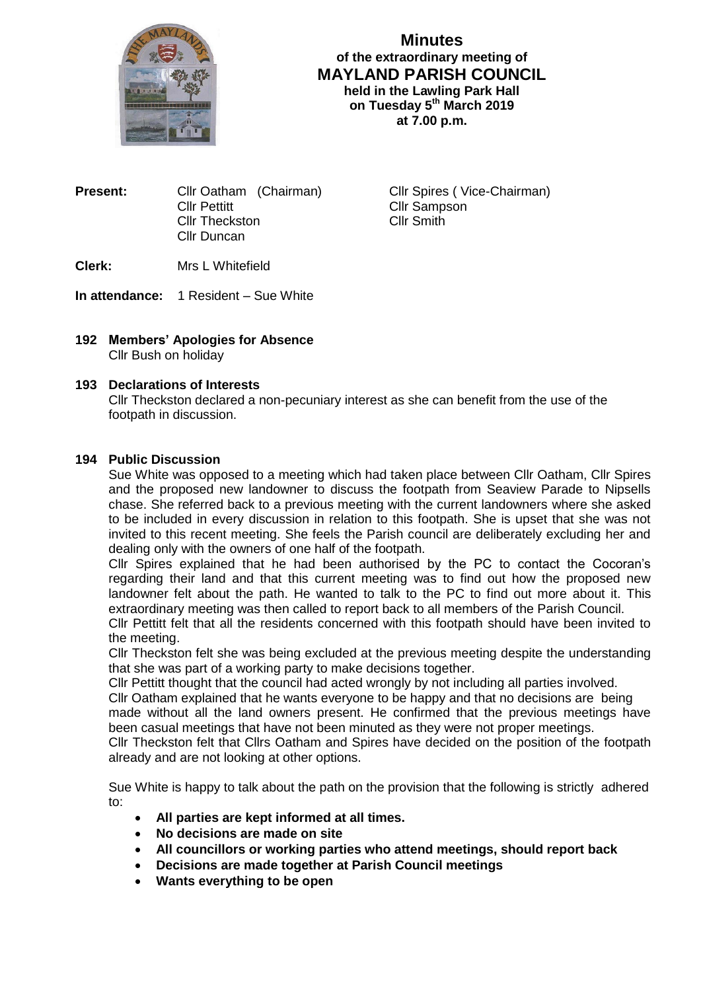

**Minutes of the extraordinary meeting of MAYLAND PARISH COUNCIL held in the Lawling Park Hall on Tuesday 5 th March 2019 at 7.00 p.m.**

**Present:** Cllr Oatham (Chairman) Cllr Spires ( Vice-Chairman) Cllr Pettitt Cllr Sampson Cllr Theckston Cllr Smith Cllr Duncan

**Clerk:** Mrs L Whitefield

**In attendance:** 1 Resident – Sue White

**192 Members' Apologies for Absence** Cllr Bush on holiday

## **193 Declarations of Interests**

Cllr Theckston declared a non-pecuniary interest as she can benefit from the use of the footpath in discussion.

## **194 Public Discussion**

Sue White was opposed to a meeting which had taken place between Cllr Oatham, Cllr Spires and the proposed new landowner to discuss the footpath from Seaview Parade to Nipsells chase. She referred back to a previous meeting with the current landowners where she asked to be included in every discussion in relation to this footpath. She is upset that she was not invited to this recent meeting. She feels the Parish council are deliberately excluding her and dealing only with the owners of one half of the footpath.

Cllr Spires explained that he had been authorised by the PC to contact the Cocoran's regarding their land and that this current meeting was to find out how the proposed new landowner felt about the path. He wanted to talk to the PC to find out more about it. This extraordinary meeting was then called to report back to all members of the Parish Council.

Cllr Pettitt felt that all the residents concerned with this footpath should have been invited to the meeting.

Cllr Theckston felt she was being excluded at the previous meeting despite the understanding that she was part of a working party to make decisions together.

Cllr Pettitt thought that the council had acted wrongly by not including all parties involved.

Cllr Oatham explained that he wants everyone to be happy and that no decisions are being made without all the land owners present. He confirmed that the previous meetings have been casual meetings that have not been minuted as they were not proper meetings.

Cllr Theckston felt that Cllrs Oatham and Spires have decided on the position of the footpath already and are not looking at other options.

Sue White is happy to talk about the path on the provision that the following is strictly adhered to:

- **All parties are kept informed at all times.**
- **No decisions are made on site**
- **All councillors or working parties who attend meetings, should report back**
- **Decisions are made together at Parish Council meetings**
- **Wants everything to be open**